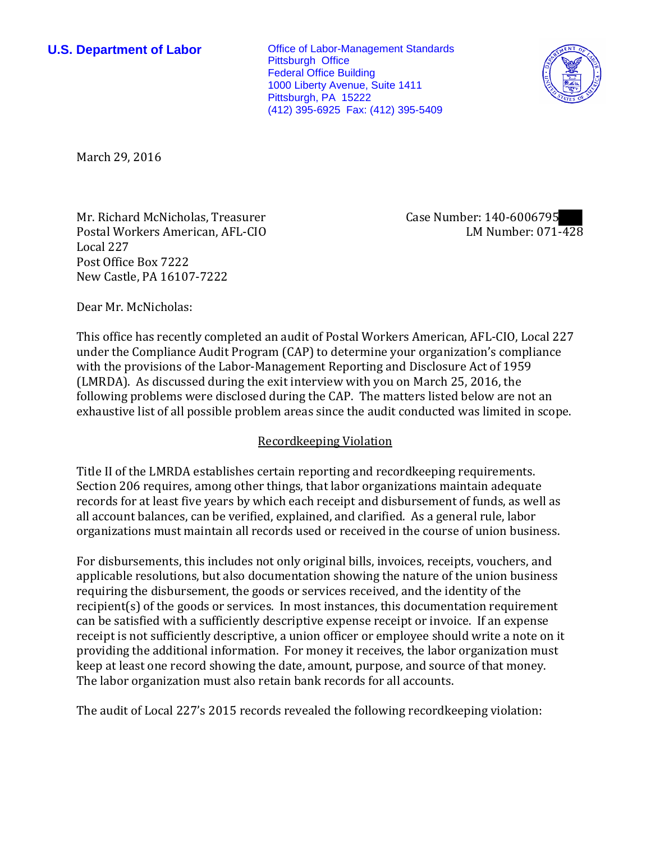**U.S. Department of Labor Conservative Conservative Conservative Conservative Conservative Conservative Conservative Conservative Conservative Conservative Conservative Conservative Conservative Conservative Conservative** Pittsburgh Office Federal Office Building 1000 Liberty Avenue, Suite 1411 Pittsburgh, PA 15222 (412) 395-6925 Fax: (412) 395-5409



March 29, 2016

Mr. Richard McNicholas, Treasurer Postal Workers American, AFL-CIO Local 227 Post Office Box 7222 New Castle, PA 16107-7222

Case Number: 140-6006795 LM Number: 071-428

Dear Mr. McNicholas:

This office has recently completed an audit of Postal Workers American, AFL-CIO, Local 227 under the Compliance Audit Program (CAP) to determine your organization's compliance with the provisions of the Labor-Management Reporting and Disclosure Act of 1959 (LMRDA). As discussed during the exit interview with you on March 25, 2016, the following problems were disclosed during the CAP. The matters listed below are not an exhaustive list of all possible problem areas since the audit conducted was limited in scope.

## Recordkeeping Violation

Title II of the LMRDA establishes certain reporting and recordkeeping requirements. Section 206 requires, among other things, that labor organizations maintain adequate records for at least five years by which each receipt and disbursement of funds, as well as all account balances, can be verified, explained, and clarified. As a general rule, labor organizations must maintain all records used or received in the course of union business.

For disbursements, this includes not only original bills, invoices, receipts, vouchers, and applicable resolutions, but also documentation showing the nature of the union business requiring the disbursement, the goods or services received, and the identity of the recipient(s) of the goods or services. In most instances, this documentation requirement can be satisfied with a sufficiently descriptive expense receipt or invoice. If an expense receipt is not sufficiently descriptive, a union officer or employee should write a note on it providing the additional information. For money it receives, the labor organization must keep at least one record showing the date, amount, purpose, and source of that money. The labor organization must also retain bank records for all accounts.

The audit of Local 227's 2015 records revealed the following recordkeeping violation: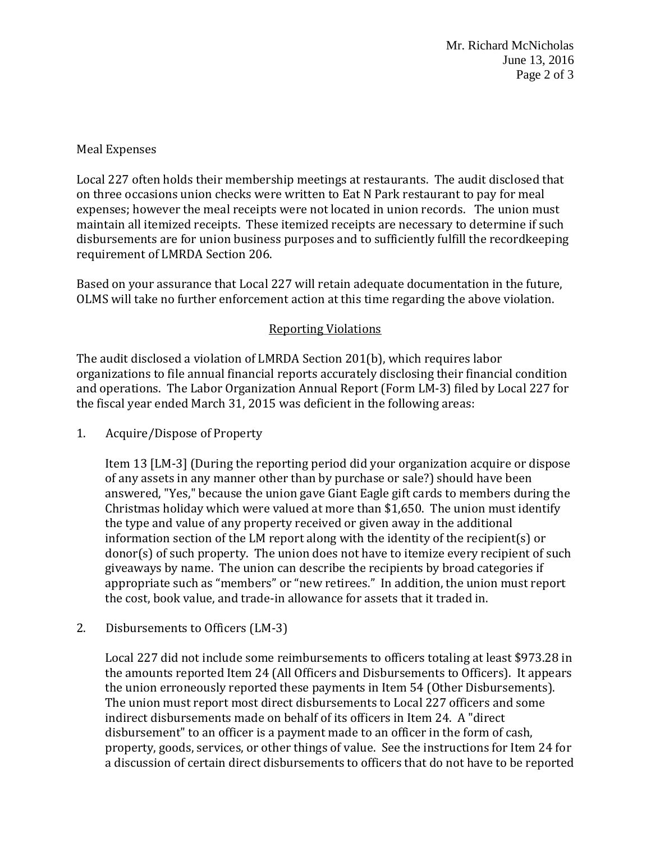Mr. Richard McNicholas June 13, 2016 Page 2 of 3

## Meal Expenses

Local 227 often holds their membership meetings at restaurants. The audit disclosed that on three occasions union checks were written to Eat N Park restaurant to pay for meal expenses; however the meal receipts were not located in union records. The union must maintain all itemized receipts. These itemized receipts are necessary to determine if such disbursements are for union business purposes and to sufficiently fulfill the recordkeeping requirement of LMRDA Section 206.

Based on your assurance that Local 227 will retain adequate documentation in the future, OLMS will take no further enforcement action at this time regarding the above violation.

## Reporting Violations

The audit disclosed a violation of LMRDA Section 201(b), which requires labor organizations to file annual financial reports accurately disclosing their financial condition and operations. The Labor Organization Annual Report (Form LM-3) filed by Local 227 for the fiscal year ended March 31, 2015 was deficient in the following areas:

1. Acquire/Dispose of Property

Item 13 [LM-3] (During the reporting period did your organization acquire or dispose of any assets in any manner other than by purchase or sale?) should have been answered, "Yes," because the union gave Giant Eagle gift cards to members during the Christmas holiday which were valued at more than \$1,650. The union must identify the type and value of any property received or given away in the additional information section of the LM report along with the identity of the recipient(s) or donor(s) of such property. The union does not have to itemize every recipient of such giveaways by name. The union can describe the recipients by broad categories if appropriate such as "members" or "new retirees." In addition, the union must report the cost, book value, and trade-in allowance for assets that it traded in.

2. Disbursements to Officers (LM-3)

Local 227 did not include some reimbursements to officers totaling at least \$973.28 in the amounts reported Item 24 (All Officers and Disbursements to Officers). It appears the union erroneously reported these payments in Item 54 (Other Disbursements). The union must report most direct disbursements to Local 227 officers and some indirect disbursements made on behalf of its officers in Item 24. A "direct disbursement" to an officer is a payment made to an officer in the form of cash, property, goods, services, or other things of value. See the instructions for Item 24 for a discussion of certain direct disbursements to officers that do not have to be reported